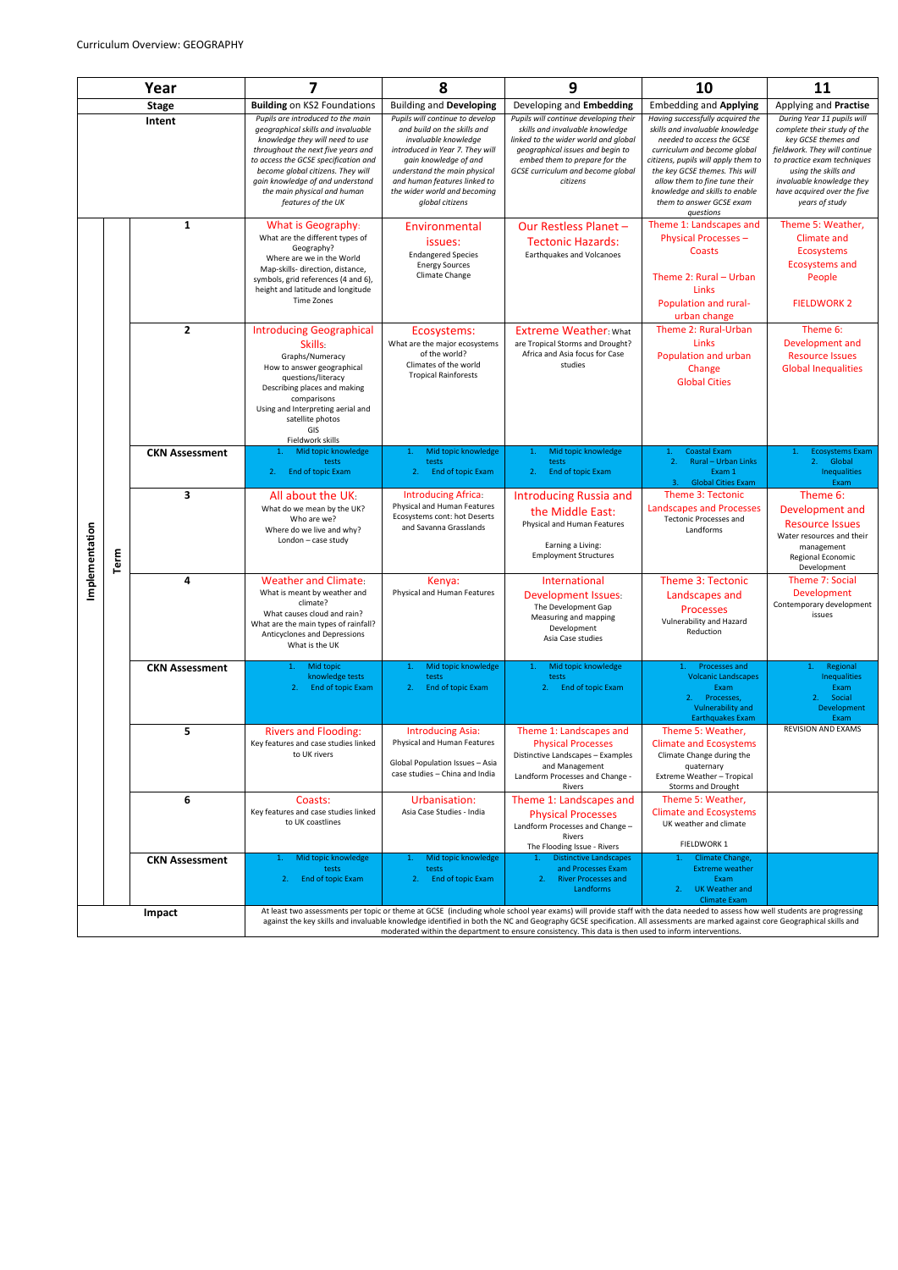| Year               |      |                       | 7                                                                                                                                                                                                                                                                                                                                                                                                                                                                    | 8                                                                                                                                                                                                                                                                     | 9                                                                                                                                                                                                                                      | 10                                                                                                                                                                                                                                                                                                                    | 11                                                                                                                                                                                                                                                     |
|--------------------|------|-----------------------|----------------------------------------------------------------------------------------------------------------------------------------------------------------------------------------------------------------------------------------------------------------------------------------------------------------------------------------------------------------------------------------------------------------------------------------------------------------------|-----------------------------------------------------------------------------------------------------------------------------------------------------------------------------------------------------------------------------------------------------------------------|----------------------------------------------------------------------------------------------------------------------------------------------------------------------------------------------------------------------------------------|-----------------------------------------------------------------------------------------------------------------------------------------------------------------------------------------------------------------------------------------------------------------------------------------------------------------------|--------------------------------------------------------------------------------------------------------------------------------------------------------------------------------------------------------------------------------------------------------|
| <b>Stage</b>       |      |                       | <b>Building on KS2 Foundations</b>                                                                                                                                                                                                                                                                                                                                                                                                                                   | <b>Building and Developing</b>                                                                                                                                                                                                                                        | Developing and Embedding                                                                                                                                                                                                               | <b>Embedding and Applying</b>                                                                                                                                                                                                                                                                                         | Applying and Practise                                                                                                                                                                                                                                  |
| Intent             |      |                       | Pupils are introduced to the main<br>geographical skills and invaluable<br>knowledge they will need to use<br>throughout the next five years and<br>to access the GCSE specification and<br>become global citizens. They will<br>gain knowledge of and understand<br>the main physical and human<br>features of the UK                                                                                                                                               | Pupils will continue to develop<br>and build on the skills and<br>invaluable knowledge<br>introduced in Year 7. They will<br>gain knowledge of and<br>understand the main physical<br>and human features linked to<br>the wider world and becoming<br>global citizens | Pupils will continue developing their<br>skills and invaluable knowledge<br>linked to the wider world and global<br>geographical issues and begin to<br>embed them to prepare for the<br>GCSE curriculum and become global<br>citizens | Having successfully acquired the<br>skills and invaluable knowledge<br>needed to access the GCSE<br>curriculum and become global<br>citizens, pupils will apply them to<br>the key GCSE themes. This will<br>allow them to fine tune their<br>knowledge and skills to enable<br>them to answer GCSE exam<br>questions | During Year 11 pupils will<br>complete their study of the<br>key GCSE themes and<br>fieldwork. They will continue<br>to practice exam techniques<br>using the skills and<br>invaluable knowledge they<br>have acquired over the five<br>years of study |
| tation<br>Implemen | Term | $\mathbf{1}$          | What is Geography:<br>What are the different types of<br>Geography?<br>Where are we in the World<br>Map-skills- direction, distance,<br>symbols, grid references (4 and 6),<br>height and latitude and longitude<br>Time Zones                                                                                                                                                                                                                                       | Environmental<br>issues:<br><b>Endangered Species</b><br><b>Energy Sources</b><br>Climate Change                                                                                                                                                                      | Our Restless Planet -<br><b>Tectonic Hazards:</b><br>Earthquakes and Volcanoes                                                                                                                                                         | Theme 1: Landscapes and<br>Physical Processes -<br>Coasts<br>Theme 2: Rural - Urban<br>Links<br>Population and rural-<br>urban change                                                                                                                                                                                 | Theme 5: Weather,<br><b>Climate and</b><br>Ecosystems<br><b>Ecosystems and</b><br>People<br><b>FIELDWORK 2</b>                                                                                                                                         |
|                    |      | $\overline{2}$        | <b>Introducing Geographical</b><br><b>Skills</b><br>Graphs/Numeracy<br>How to answer geographical<br>questions/literacy<br>Describing places and making<br>comparisons<br>Using and Interpreting aerial and<br>satellite photos<br>GIS<br>Fieldwork skills                                                                                                                                                                                                           | Ecosystems:<br>What are the major ecosystems<br>of the world?<br>Climates of the world<br><b>Tropical Rainforests</b>                                                                                                                                                 | <b>Extreme Weather: What</b><br>are Tropical Storms and Drought?<br>Africa and Asia focus for Case<br>studies                                                                                                                          | Theme 2: Rural-Urban<br>Links<br>Population and urban<br>Change<br><b>Global Cities</b>                                                                                                                                                                                                                               | Theme 6:<br>Development and<br><b>Resource Issues</b><br><b>Global Inequalities</b>                                                                                                                                                                    |
|                    |      | <b>CKN Assessment</b> | Mid topic knowledge<br>$\mathbf{1}$ .<br>tests<br>End of topic Exam<br>2.                                                                                                                                                                                                                                                                                                                                                                                            | Mid topic knowledge<br>$\mathbf{1}$ .<br>tests<br>End of topic Exam<br>2.                                                                                                                                                                                             | Mid topic knowledge<br>$\mathbf{1}$ .<br>tests<br>End of topic Exam<br>2.                                                                                                                                                              | <b>Coastal Exam</b><br>1.<br>2.<br><b>Rural - Urban Links</b><br>Exam 1<br>3. Global Cities Exam                                                                                                                                                                                                                      | <b>Ecosystems Exam</b><br>2. Global<br><b>Inequalities</b><br>Exam                                                                                                                                                                                     |
|                    |      | 3                     | All about the UK<br>What do we mean by the UK?<br>Who are we?<br>Where do we live and why?<br>London - case study                                                                                                                                                                                                                                                                                                                                                    | Introducing Africa:<br>Physical and Human Features<br>Ecosystems cont: hot Deserts<br>and Savanna Grasslands                                                                                                                                                          | <b>Introducing Russia and</b><br>the Middle East:<br>Physical and Human Features<br>Earning a Living:<br><b>Employment Structures</b>                                                                                                  | Theme 3: Tectonic<br><b>Landscapes and Processes</b><br><b>Tectonic Processes and</b><br>Landforms                                                                                                                                                                                                                    | Theme 6:<br>Development and<br><b>Resource Issues</b><br>Water resources and their<br>management<br>Regional Economic<br>Development                                                                                                                   |
|                    |      | 4                     | <b>Weather and Climate:</b><br>What is meant by weather and<br>climate?<br>What causes cloud and rain?<br>What are the main types of rainfall?<br>Anticyclones and Depressions<br>What is the UK                                                                                                                                                                                                                                                                     | Kenya:<br>Physical and Human Features                                                                                                                                                                                                                                 | International<br><b>Development Issues</b><br>The Development Gap<br>Measuring and mapping<br>Development<br>Asia Case studies                                                                                                         | <b>Theme 3: Tectonic</b><br>Landscapes and<br><b>Processes</b><br>Vulnerability and Hazard<br>Reduction                                                                                                                                                                                                               | Theme 7: Social<br>Development<br>Contemporary development<br>issues                                                                                                                                                                                   |
|                    |      | <b>CKN Assessment</b> | Mid topic<br>1.<br>knowledge tests<br>End of topic Exam<br>2.                                                                                                                                                                                                                                                                                                                                                                                                        | Mid topic knowledge<br>1.<br>tests<br>End of topic Exam<br>2.                                                                                                                                                                                                         | Mid topic knowledge<br>1.<br>tests<br>End of topic Exam<br>2.                                                                                                                                                                          | <b>Processes and</b><br>1.<br><b>Volcanic Landscapes</b><br>Exam<br>2. Processes,<br>Vulnerability and<br><b>Earthquakes Exam</b>                                                                                                                                                                                     | Regional<br>1.<br><b>Inequalities</b><br>Exam<br>2. Social<br>Development<br>Exam                                                                                                                                                                      |
|                    |      | 5                     | <b>Rivers and Flooding:</b><br>Key features and case studies linked<br>to UK rivers                                                                                                                                                                                                                                                                                                                                                                                  | <b>Introducing Asia:</b><br>Physical and Human Features<br>Global Population Issues - Asia<br>case studies - China and India                                                                                                                                          | Theme 1: Landscapes and<br><b>Physical Processes</b><br>Distinctive Landscapes - Examples<br>and Management<br>Landform Processes and Change -<br>Rivers                                                                               | Theme 5: Weather,<br><b>Climate and Ecosystems</b><br>Climate Change during the<br>quaternary<br>Extreme Weather - Tropical<br><b>Storms and Drought</b>                                                                                                                                                              | REVISION AND EXAMS                                                                                                                                                                                                                                     |
|                    |      | 6                     | Coasts:<br>Key features and case studies linked<br>to UK coastlines                                                                                                                                                                                                                                                                                                                                                                                                  | Urbanisation:<br>Asia Case Studies - India                                                                                                                                                                                                                            | Theme 1: Landscapes and<br><b>Physical Processes</b><br>Landform Processes and Change -<br>Rivers<br>The Flooding Issue - Rivers                                                                                                       | Theme 5: Weather,<br><b>Climate and Ecosystems</b><br>UK weather and climate<br>FIELDWORK 1                                                                                                                                                                                                                           |                                                                                                                                                                                                                                                        |
|                    |      | <b>CKN Assessment</b> | Mid topic knowledge<br>tests<br>End of topic Exam<br>2.                                                                                                                                                                                                                                                                                                                                                                                                              | Mid topic knowledge<br>tests<br><b>End of topic Exam</b><br>2.                                                                                                                                                                                                        | <b>Distinctive Landscapes</b><br>1.<br>and Processes Exam<br><b>River Processes and</b><br>2.<br>Landforms                                                                                                                             | Climate Change,<br><b>Extreme weather</b><br>Exam<br>UK Weather and<br>2.<br><b>Climate Exam</b>                                                                                                                                                                                                                      |                                                                                                                                                                                                                                                        |
| Impact             |      |                       | At least two assessments per topic or theme at GCSE (including whole school year exams) will provide staff with the data needed to assess how well students are progressing<br>against the key skills and invaluable knowledge identified in both the NC and Geography GCSE specification. All assessments are marked against core Geographical skills and<br>moderated within the department to ensure consistency. This data is then used to inform interventions. |                                                                                                                                                                                                                                                                       |                                                                                                                                                                                                                                        |                                                                                                                                                                                                                                                                                                                       |                                                                                                                                                                                                                                                        |